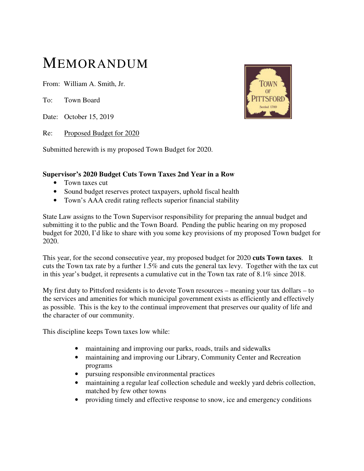## MEMORANDUM

From: William A. Smith, Jr.

To: Town Board

Date: October 15, 2019

Re: Proposed Budget for 2020

Submitted herewith is my proposed Town Budget for 2020.

## **Supervisor's 2020 Budget Cuts Town Taxes 2nd Year in a Row**

- Town taxes cut
- Sound budget reserves protect taxpayers, uphold fiscal health
- Town's AAA credit rating reflects superior financial stability

State Law assigns to the Town Supervisor responsibility for preparing the annual budget and submitting it to the public and the Town Board. Pending the public hearing on my proposed budget for 2020, I'd like to share with you some key provisions of my proposed Town budget for 2020.

This year, for the second consecutive year, my proposed budget for 2020 **cuts Town taxes**. It cuts the Town tax rate by a further 1.5% and cuts the general tax levy. Together with the tax cut in this year's budget, it represents a cumulative cut in the Town tax rate of 8.1% since 2018.

My first duty to Pittsford residents is to devote Town resources – meaning your tax dollars – to the services and amenities for which municipal government exists as efficiently and effectively as possible. This is the key to the continual improvement that preserves our quality of life and the character of our community.

This discipline keeps Town taxes low while:

- maintaining and improving our parks, roads, trails and sidewalks
- maintaining and improving our Library, Community Center and Recreation programs
- pursuing responsible environmental practices
- maintaining a regular leaf collection schedule and weekly yard debris collection, matched by few other towns
- providing timely and effective response to snow, ice and emergency conditions

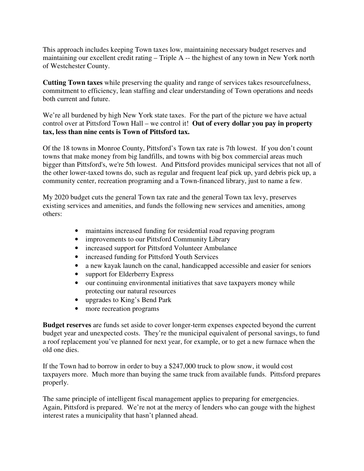This approach includes keeping Town taxes low, maintaining necessary budget reserves and maintaining our excellent credit rating – Triple A -- the highest of any town in New York north of Westchester County.

**Cutting Town taxes** while preserving the quality and range of services takes resourcefulness, commitment to efficiency, lean staffing and clear understanding of Town operations and needs both current and future.

We're all burdened by high New York state taxes. For the part of the picture we have actual control over at Pittsford Town Hall – we control it! **Out of every dollar you pay in property tax, less than nine cents is Town of Pittsford tax.** 

Of the 18 towns in Monroe County, Pittsford's Town tax rate is 7th lowest. If you don't count towns that make money from big landfills, and towns with big box commercial areas much bigger than Pittsford's, we're 5th lowest. And Pittsford provides municipal services that not all of the other lower-taxed towns do, such as regular and frequent leaf pick up, yard debris pick up, a community center, recreation programing and a Town-financed library, just to name a few.

My 2020 budget cuts the general Town tax rate and the general Town tax levy, preserves existing services and amenities, and funds the following new services and amenities, among others:

- maintains increased funding for residential road repaving program
- improvements to our Pittsford Community Library
- increased support for Pittsford Volunteer Ambulance
- increased funding for Pittsford Youth Services
- a new kayak launch on the canal, handicapped accessible and easier for seniors
- support for Elderberry Express
- our continuing environmental initiatives that save taxpayers money while protecting our natural resources
- upgrades to King's Bend Park
- more recreation programs

**Budget reserves** are funds set aside to cover longer-term expenses expected beyond the current budget year and unexpected costs. They're the municipal equivalent of personal savings, to fund a roof replacement you've planned for next year, for example, or to get a new furnace when the old one dies.

If the Town had to borrow in order to buy a \$247,000 truck to plow snow, it would cost taxpayers more. Much more than buying the same truck from available funds. Pittsford prepares properly.

The same principle of intelligent fiscal management applies to preparing for emergencies. Again, Pittsford is prepared. We're not at the mercy of lenders who can gouge with the highest interest rates a municipality that hasn't planned ahead.